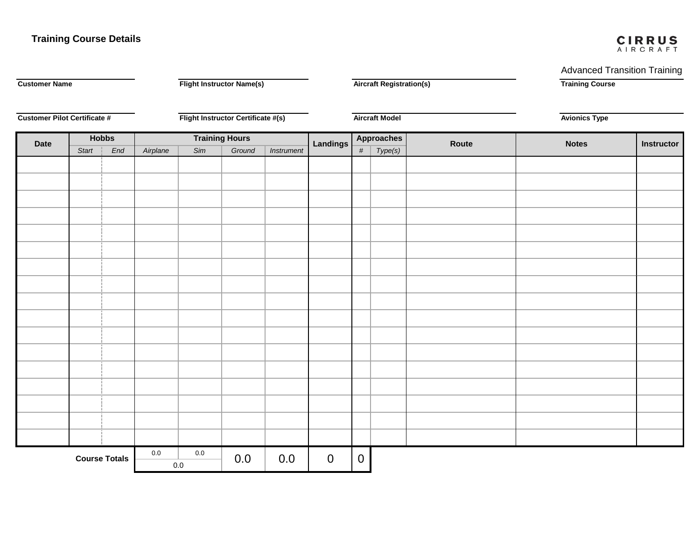## **Training Course Details Cirrus Advanced Transition Training Course**

# CIRRUS

Advanced Transition Training

| <b>Customer Name</b>                |              | <b>Flight Instructor Name(s)</b>   |                       |     | <b>Aircraft Registration(s)</b> |             |                |                   | <b>Training Course</b><br><b>Avionics Type</b> |       |              |            |  |
|-------------------------------------|--------------|------------------------------------|-----------------------|-----|---------------------------------|-------------|----------------|-------------------|------------------------------------------------|-------|--------------|------------|--|
| <b>Customer Pilot Certificate #</b> |              | Flight Instructor Certificate #(s) |                       |     | <b>Aircraft Model</b>           |             |                |                   |                                                |       |              |            |  |
| <b>Date</b>                         | <b>Hobbs</b> |                                    | <b>Training Hours</b> |     |                                 |             | Landings       | <b>Approaches</b> |                                                | Route | <b>Notes</b> | Instructor |  |
|                                     | Start        | End                                | Airplane              | Sim | Ground                          | Instrument  |                | $\#$              | Type(s)                                        |       |              |            |  |
|                                     |              |                                    |                       |     |                                 |             |                |                   |                                                |       |              |            |  |
|                                     |              |                                    |                       |     |                                 |             |                |                   |                                                |       |              |            |  |
|                                     |              |                                    |                       |     |                                 |             |                |                   |                                                |       |              |            |  |
|                                     |              |                                    |                       |     |                                 |             |                |                   |                                                |       |              |            |  |
|                                     |              |                                    |                       |     |                                 |             |                |                   |                                                |       |              |            |  |
|                                     |              |                                    |                       |     |                                 |             |                |                   |                                                |       |              |            |  |
|                                     |              |                                    |                       |     |                                 |             |                |                   |                                                |       |              |            |  |
|                                     |              |                                    |                       |     |                                 |             |                |                   |                                                |       |              |            |  |
|                                     |              |                                    |                       |     |                                 |             |                |                   |                                                |       |              |            |  |
|                                     |              |                                    |                       |     |                                 |             |                |                   |                                                |       |              |            |  |
|                                     |              |                                    |                       |     |                                 |             |                |                   |                                                |       |              |            |  |
|                                     |              |                                    |                       |     |                                 |             |                |                   |                                                |       |              |            |  |
|                                     |              |                                    |                       |     |                                 |             |                |                   |                                                |       |              |            |  |
|                                     |              |                                    |                       |     |                                 |             |                |                   |                                                |       |              |            |  |
|                                     |              |                                    |                       |     |                                 |             |                |                   |                                                |       |              |            |  |
|                                     |              |                                    |                       |     |                                 |             |                |                   |                                                |       |              |            |  |
|                                     |              |                                    |                       |     |                                 |             |                |                   |                                                |       |              |            |  |
| <b>Course Totals</b>                |              | $0.0\,$                            | $0.0\,$               | 0.0 | 0.0                             | $\mathbf 0$ | $\overline{0}$ |                   |                                                |       |              |            |  |
|                                     |              | $0.0\,$                            |                       |     |                                 |             |                |                   |                                                |       |              |            |  |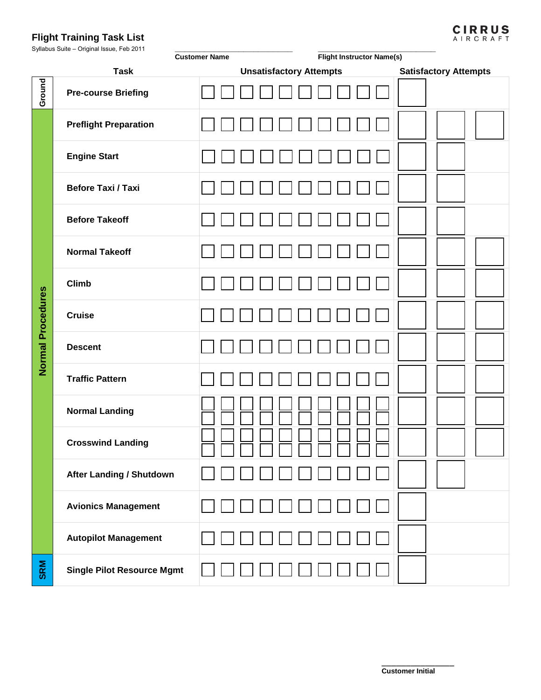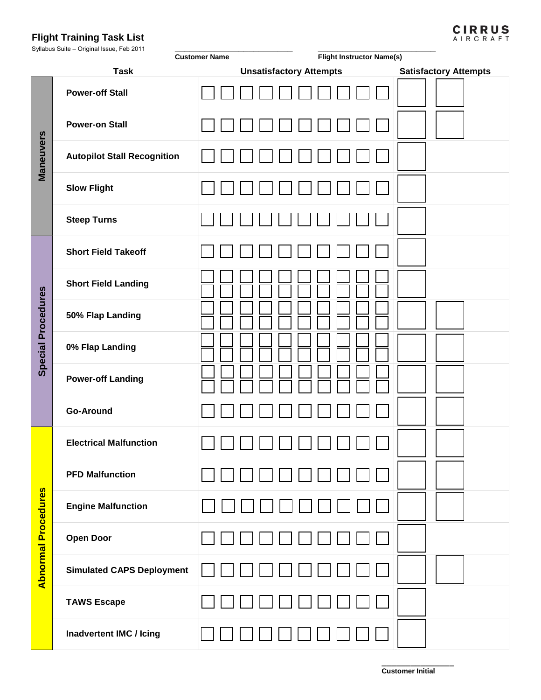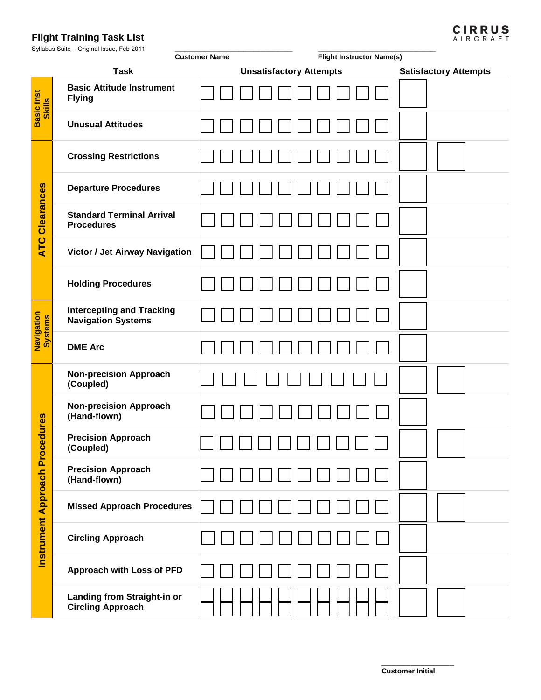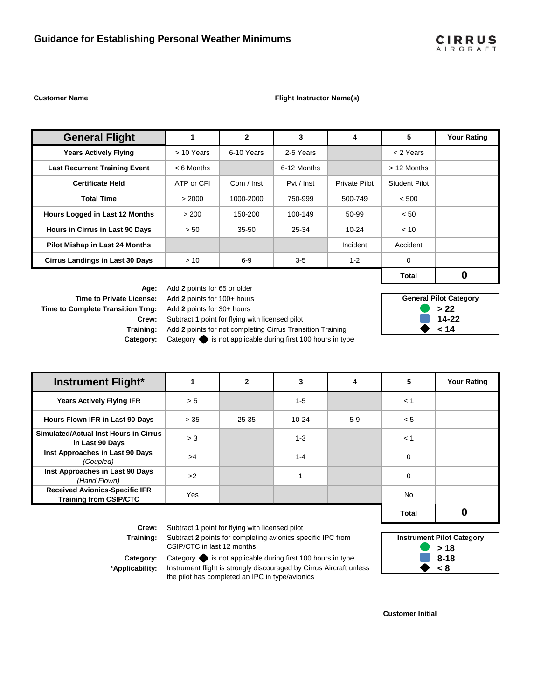$\mathbf 0$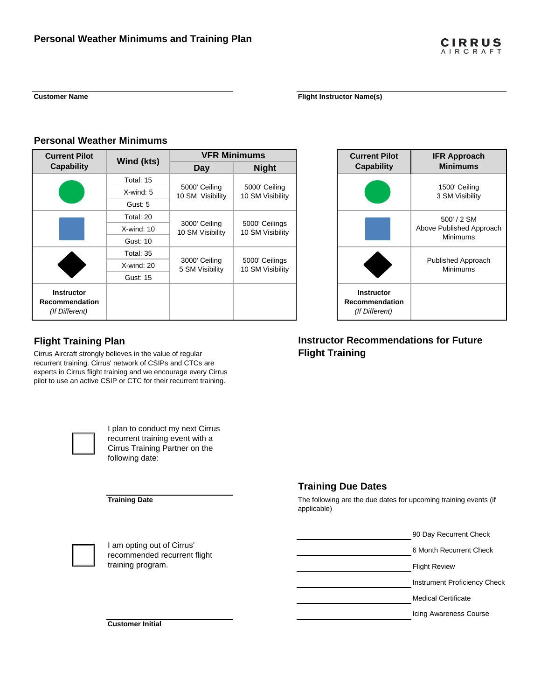$\begin{tabular}{|c|c|c|} \hline \quad \quad & \quad \quad & \quad \quad \\ \hline \quad \quad & \quad \quad & \quad \quad \\ \hline \quad \quad & \quad \quad & \quad \quad \\ \hline \end{tabular}$ 

 $\Box$